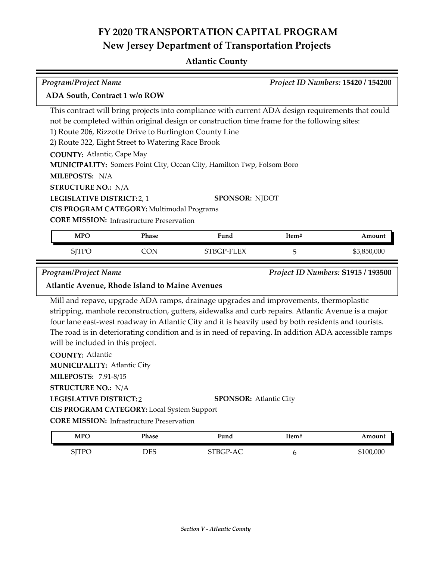## **Atlantic County**

| Program/Project Name                                                                                                                                                                                                                     |                                                                                                             |                                                                                                                                                                                                                                                                                                                  |       | Project ID Numbers: 15420 / 154200                |
|------------------------------------------------------------------------------------------------------------------------------------------------------------------------------------------------------------------------------------------|-------------------------------------------------------------------------------------------------------------|------------------------------------------------------------------------------------------------------------------------------------------------------------------------------------------------------------------------------------------------------------------------------------------------------------------|-------|---------------------------------------------------|
| ADA South, Contract 1 w/o ROW                                                                                                                                                                                                            |                                                                                                             |                                                                                                                                                                                                                                                                                                                  |       |                                                   |
|                                                                                                                                                                                                                                          | 1) Route 206, Rizzotte Drive to Burlington County Line<br>2) Route 322, Eight Street to Watering Race Brook | This contract will bring projects into compliance with current ADA design requirements that could<br>not be completed within original design or construction time frame for the following sites:                                                                                                                 |       |                                                   |
| <b>COUNTY: Atlantic, Cape May</b><br>MILEPOSTS: N/A                                                                                                                                                                                      |                                                                                                             | MUNICIPALITY: Somers Point City, Ocean City, Hamilton Twp, Folsom Boro                                                                                                                                                                                                                                           |       |                                                   |
| <b>STRUCTURE NO.: N/A</b><br>LEGISLATIVE DISTRICT: 2, 1                                                                                                                                                                                  | CIS PROGRAM CATEGORY: Multimodal Programs<br><b>CORE MISSION:</b> Infrastructure Preservation               | <b>SPONSOR: NJDOT</b>                                                                                                                                                                                                                                                                                            |       |                                                   |
|                                                                                                                                                                                                                                          |                                                                                                             | Fund                                                                                                                                                                                                                                                                                                             | Item# | Amount                                            |
| <b>MPO</b>                                                                                                                                                                                                                               | Phase                                                                                                       |                                                                                                                                                                                                                                                                                                                  |       |                                                   |
| <b>SJTPO</b>                                                                                                                                                                                                                             | <b>CON</b>                                                                                                  | STBGP-FLEX<br>Mill and repave, upgrade ADA ramps, drainage upgrades and improvements, thermoplastic                                                                                                                                                                                                              | 5     | \$3,850,000<br>Project ID Numbers: S1915 / 193500 |
| Program/Project Name<br>Atlantic Avenue, Rhode Island to Maine Avenues<br>will be included in this project.<br><b>COUNTY: Atlantic</b><br><b>MUNICIPALITY: Atlantic City</b><br><b>MILEPOSTS: 7.91-8/15</b><br><b>STRUCTURE NO.: N/A</b> |                                                                                                             | stripping, manhole reconstruction, gutters, sidewalks and curb repairs. Atlantic Avenue is a major<br>four lane east-west roadway in Atlantic City and it is heavily used by both residents and tourists.<br>The road is in deteriorating condition and is in need of repaving. In addition ADA accessible ramps |       |                                                   |
| <b>LEGISLATIVE DISTRICT:2</b>                                                                                                                                                                                                            | CIS PROGRAM CATEGORY: Local System Support<br><b>CORE MISSION:</b> Infrastructure Preservation              | <b>SPONSOR: Atlantic City</b>                                                                                                                                                                                                                                                                                    |       |                                                   |
| <b>MPO</b>                                                                                                                                                                                                                               | Phase                                                                                                       | Fund                                                                                                                                                                                                                                                                                                             | Item# | Amount                                            |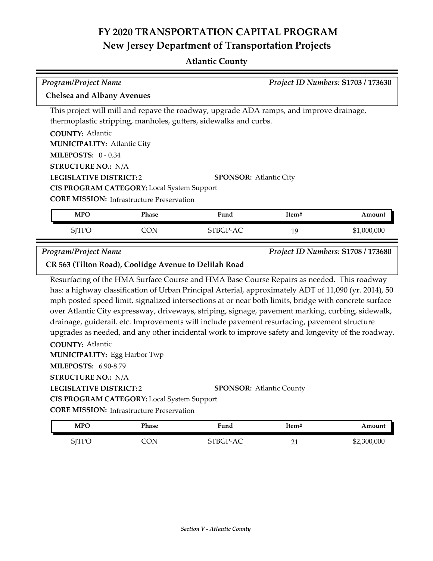## **Atlantic County**

| <b>Program/Project Name</b>                           |                                                   |                                                                                                                                                                                                                                                                                                                                                                                                                                                                                                                                                                                                                       |       | Project ID Numbers: S1703 / 173630 |
|-------------------------------------------------------|---------------------------------------------------|-----------------------------------------------------------------------------------------------------------------------------------------------------------------------------------------------------------------------------------------------------------------------------------------------------------------------------------------------------------------------------------------------------------------------------------------------------------------------------------------------------------------------------------------------------------------------------------------------------------------------|-------|------------------------------------|
| <b>Chelsea and Albany Avenues</b>                     |                                                   |                                                                                                                                                                                                                                                                                                                                                                                                                                                                                                                                                                                                                       |       |                                    |
|                                                       |                                                   | This project will mill and repave the roadway, upgrade ADA ramps, and improve drainage,                                                                                                                                                                                                                                                                                                                                                                                                                                                                                                                               |       |                                    |
|                                                       |                                                   | thermoplastic stripping, manholes, gutters, sidewalks and curbs.                                                                                                                                                                                                                                                                                                                                                                                                                                                                                                                                                      |       |                                    |
| <b>COUNTY: Atlantic</b>                               |                                                   |                                                                                                                                                                                                                                                                                                                                                                                                                                                                                                                                                                                                                       |       |                                    |
| <b>MUNICIPALITY: Atlantic City</b>                    |                                                   |                                                                                                                                                                                                                                                                                                                                                                                                                                                                                                                                                                                                                       |       |                                    |
| <b>MILEPOSTS: 0-0.34</b>                              |                                                   |                                                                                                                                                                                                                                                                                                                                                                                                                                                                                                                                                                                                                       |       |                                    |
| <b>STRUCTURE NO.: N/A</b>                             |                                                   |                                                                                                                                                                                                                                                                                                                                                                                                                                                                                                                                                                                                                       |       |                                    |
| <b>LEGISLATIVE DISTRICT:2</b>                         |                                                   | <b>SPONSOR: Atlantic City</b>                                                                                                                                                                                                                                                                                                                                                                                                                                                                                                                                                                                         |       |                                    |
|                                                       | <b>CIS PROGRAM CATEGORY:</b> Local System Support |                                                                                                                                                                                                                                                                                                                                                                                                                                                                                                                                                                                                                       |       |                                    |
|                                                       | <b>CORE MISSION: Infrastructure Preservation</b>  |                                                                                                                                                                                                                                                                                                                                                                                                                                                                                                                                                                                                                       |       |                                    |
| <b>MPO</b>                                            | Phase                                             | Fund                                                                                                                                                                                                                                                                                                                                                                                                                                                                                                                                                                                                                  | Item# | Amount                             |
| <b>SJTPO</b>                                          | <b>CON</b>                                        | STBGP-AC                                                                                                                                                                                                                                                                                                                                                                                                                                                                                                                                                                                                              | 19    | \$1,000,000                        |
| <b>Program/Project Name</b>                           |                                                   |                                                                                                                                                                                                                                                                                                                                                                                                                                                                                                                                                                                                                       |       | Project ID Numbers: S1708 / 173680 |
| CR 563 (Tilton Road), Coolidge Avenue to Delilah Road |                                                   |                                                                                                                                                                                                                                                                                                                                                                                                                                                                                                                                                                                                                       |       |                                    |
| <b>COUNTY: Atlantic</b>                               |                                                   | Resurfacing of the HMA Surface Course and HMA Base Course Repairs as needed. This roadway<br>has: a highway classification of Urban Principal Arterial, approximately ADT of 11,090 (yr. 2014), 50<br>mph posted speed limit, signalized intersections at or near both limits, bridge with concrete surface<br>over Atlantic City expressway, driveways, striping, signage, pavement marking, curbing, sidewalk,<br>drainage, guiderail. etc. Improvements will include pavement resurfacing, pavement structure<br>upgrades as needed, and any other incidental work to improve safety and longevity of the roadway. |       |                                    |
| <b>MUNICIPALITY:</b> Egg Harbor Twp                   |                                                   |                                                                                                                                                                                                                                                                                                                                                                                                                                                                                                                                                                                                                       |       |                                    |
| <b>MILEPOSTS: 6.90-8.79</b>                           |                                                   |                                                                                                                                                                                                                                                                                                                                                                                                                                                                                                                                                                                                                       |       |                                    |
| <b>STRUCTURE NO.: N/A</b>                             |                                                   |                                                                                                                                                                                                                                                                                                                                                                                                                                                                                                                                                                                                                       |       |                                    |
| <b>LEGISLATIVE DISTRICT:2</b>                         |                                                   | <b>SPONSOR: Atlantic County</b>                                                                                                                                                                                                                                                                                                                                                                                                                                                                                                                                                                                       |       |                                    |

**CIS PROGRAM CATEGORY:** Local System Support

**CORE MISSION:** Infrastructure Preservation

 $\overline{\phantom{a}}$ 

| MPO          | Phase | Fund     | Item#   | Amount      |
|--------------|-------|----------|---------|-------------|
| <b>SJTPO</b> | CON   | STBGP-AC | ົ<br>∠⊥ | \$2,300,000 |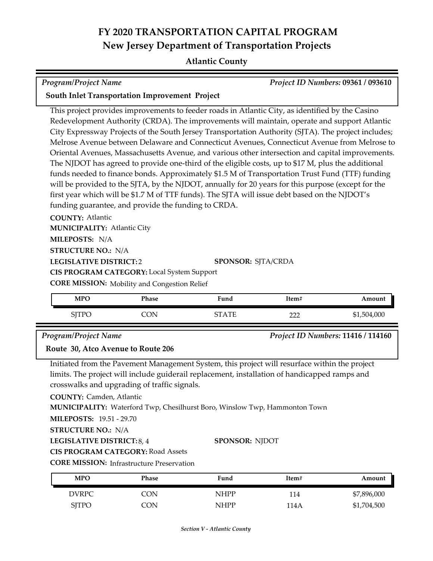### **Atlantic County**

| Program/Project Name | <b>Project ID Numbers: 09361 / 093610</b> |
|----------------------|-------------------------------------------|

#### **South Inlet Transportation Improvement Project**

This project provides improvements to feeder roads in Atlantic City, as identified by the Casino Redevelopment Authority (CRDA). The improvements will maintain, operate and support Atlantic City Expressway Projects of the South Jersey Transportation Authority (SJTA). The project includes; Melrose Avenue between Delaware and Connecticut Avenues, Connecticut Avenue from Melrose to Oriental Avenues, Massachusetts Avenue, and various other intersection and capital improvements. The NJDOT has agreed to provide one-third of the eligible costs, up to \$17 M, plus the additional funds needed to finance bonds. Approximately \$1.5 M of Transportation Trust Fund (TTF) funding will be provided to the SJTA, by the NJDOT, annually for 20 years for this purpose (except for the first year which will be \$1.7 M of TTF funds). The SJTA will issue debt based on the NJDOT's funding guarantee, and provide the funding to CRDA.

**COUNTY:** Atlantic **LEGISLATIVE DISTRICT:** 2 **MILEPOSTS:** N/A **STRUCTURE NO.:** N/A **MUNICIPALITY: Atlantic City CORE MISSION:** Mobility and Congestion Relief **SPONSOR:** SJTA/CRDA **CIS PROGRAM CATEGORY:** Local System Support

| <b>MPO</b>    | Phase | Fund                     | Item# | Amount      |
|---------------|-------|--------------------------|-------|-------------|
| CTTDC<br>11 C | חו    | cт<br>$\Delta \text{TF}$ | nnn   | \$1,504,000 |

#### *Program/Project Name Project ID Numbers:* **11416 / 114160**

#### **Route 30, Atco Avenue to Route 206**

Initiated from the Pavement Management System, this project will resurface within the project limits. The project will include guiderail replacement, installation of handicapped ramps and crosswalks and upgrading of traffic signals.

**COUNTY:** Camden, Atlantic

**MUNICIPALITY:** Waterford Twp, Chesilhurst Boro, Winslow Twp, Hammonton Town

**MILEPOSTS:** 19.51 - 29.70

**STRUCTURE NO.:** N/A

**LEGISLATIVE DISTRICT:** 8, 4

#### **SPONSOR:** NJDOT

**CIS PROGRAM CATEGORY:** Road Assets

**CORE MISSION:** Infrastructure Preservation

| <b>MPO</b>   | Phase | Fund        | Item# | Amount      |
|--------------|-------|-------------|-------|-------------|
| <b>DVRPC</b> | CON   | <b>NHPP</b> | -14   | \$7,896,000 |
| <b>SITPO</b> | CON   | <b>NHPP</b> | 114A  | \$1,704,500 |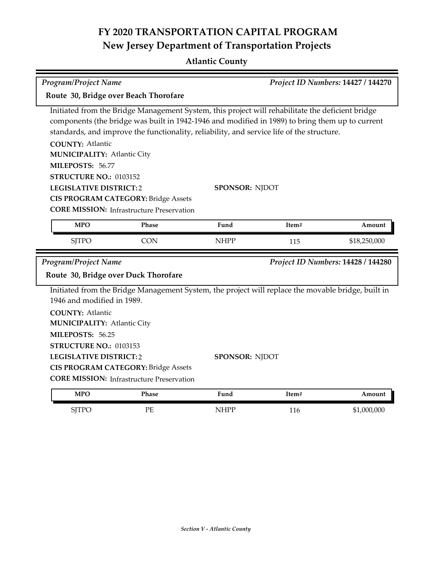## **Atlantic County**

| <b>Program/Project Name</b>                                                                                                                                                |                                                                                                                                                                                                                                                                                                  |                       | Project ID Numbers: 14427 / 144270 |                                    |  |
|----------------------------------------------------------------------------------------------------------------------------------------------------------------------------|--------------------------------------------------------------------------------------------------------------------------------------------------------------------------------------------------------------------------------------------------------------------------------------------------|-----------------------|------------------------------------|------------------------------------|--|
|                                                                                                                                                                            | Route 30, Bridge over Beach Thorofare                                                                                                                                                                                                                                                            |                       |                                    |                                    |  |
| <b>COUNTY: Atlantic</b><br><b>MUNICIPALITY: Atlantic City</b><br>MILEPOSTS: 56.77                                                                                          | Initiated from the Bridge Management System, this project will rehabilitate the deficient bridge<br>components (the bridge was built in 1942-1946 and modified in 1989) to bring them up to current<br>standards, and improve the functionality, reliability, and service life of the structure. |                       |                                    |                                    |  |
| STRUCTURE NO.: 0103152<br><b>LEGISLATIVE DISTRICT:2</b>                                                                                                                    | <b>CIS PROGRAM CATEGORY: Bridge Assets</b><br><b>CORE MISSION:</b> Infrastructure Preservation                                                                                                                                                                                                   | <b>SPONSOR: NJDOT</b> |                                    |                                    |  |
| <b>MPO</b>                                                                                                                                                                 | Phase                                                                                                                                                                                                                                                                                            | Fund                  | Item#                              | Amount                             |  |
|                                                                                                                                                                            |                                                                                                                                                                                                                                                                                                  |                       |                                    |                                    |  |
| <b>SJTPO</b>                                                                                                                                                               | <b>CON</b>                                                                                                                                                                                                                                                                                       | <b>NHPP</b>           | 115                                | \$18,250,000                       |  |
| <b>Program/Project Name</b>                                                                                                                                                | Route 30, Bridge over Duck Thorofare                                                                                                                                                                                                                                                             |                       |                                    | Project ID Numbers: 14428 / 144280 |  |
| 1946 and modified in 1989.<br><b>COUNTY: Atlantic</b><br><b>MUNICIPALITY: Atlantic City</b><br>MILEPOSTS: 56.25<br>STRUCTURE NO.: 0103153<br><b>LEGISLATIVE DISTRICT:2</b> | Initiated from the Bridge Management System, the project will replace the movable bridge, built in<br><b>CIS PROGRAM CATEGORY: Bridge Assets</b><br><b>CORE MISSION:</b> Infrastructure Preservation                                                                                             | <b>SPONSOR: NJDOT</b> |                                    |                                    |  |

SJTPO PE NHPP 116 \$1,000,000